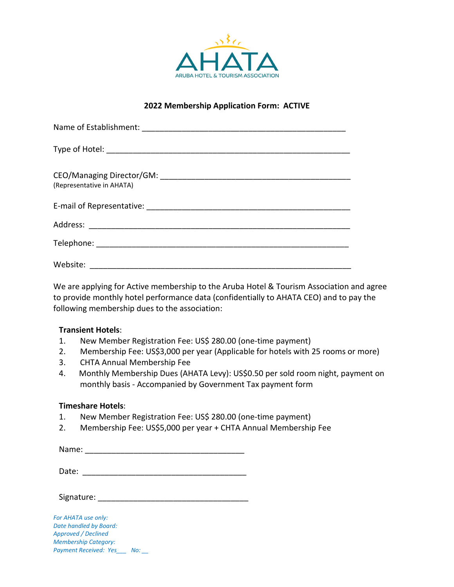

### **2022 Membership Application Form: ACTIVE**

| (Representative in AHATA) |
|---------------------------|
|                           |
|                           |
|                           |
| Website:                  |

We are applying for Active membership to the Aruba Hotel & Tourism Association and agree to provide monthly hotel performance data (confidentially to AHATA CEO) and to pay the following membership dues to the association:

### **Transient Hotels**:

- 1. New Member Registration Fee: US\$ 280.00 (one-time payment)
- 2. Membership Fee: US\$3,000 per year (Applicable for hotels with 25 rooms or more)
- 3. CHTA Annual Membership Fee
- 4. Monthly Membership Dues (AHATA Levy): US\$0.50 per sold room night, payment on monthly basis - Accompanied by Government Tax payment form

### **Timeshare Hotels**:

- 1. New Member Registration Fee: US\$ 280.00 (one-time payment)
- 2. Membership Fee: US\$5,000 per year + CHTA Annual Membership Fee

Name: \_\_\_\_\_\_\_\_\_\_\_\_\_\_\_\_\_\_\_\_\_\_\_\_\_\_\_\_\_\_\_\_\_\_\_\_

| Date: |  |
|-------|--|
|       |  |

Signature: \_\_\_\_\_\_\_\_\_\_\_\_\_\_\_\_\_\_\_\_\_\_\_\_\_\_\_\_\_\_\_\_\_\_

*For AHATA use only: Date handled by Board: Approved / Declined Membership Category: Payment Received: Yes\_\_\_ No: \_\_*